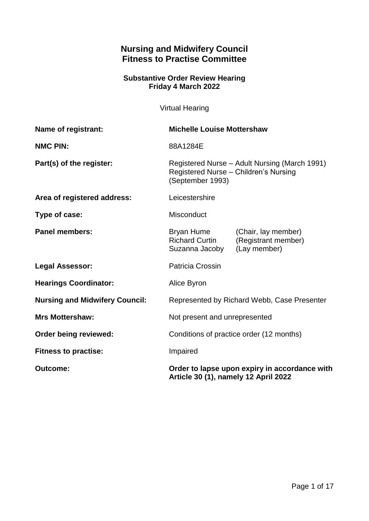# **Nursing and Midwifery Council Fitness to Practise Committee**

#### **Substantive Order Review Hearing Friday 4 March 2022**

Virtual Hearing

| <b>Name of registrant:</b>            | <b>Michelle Louise Mottershaw</b>                                                                          |                                                            |
|---------------------------------------|------------------------------------------------------------------------------------------------------------|------------------------------------------------------------|
| <b>NMC PIN:</b>                       | 88A1284E                                                                                                   |                                                            |
| Part(s) of the register:              | Registered Nurse - Adult Nursing (March 1991)<br>Registered Nurse - Children's Nursing<br>(September 1993) |                                                            |
| Area of registered address:           | Leicestershire                                                                                             |                                                            |
| Type of case:                         | Misconduct                                                                                                 |                                                            |
| <b>Panel members:</b>                 | Bryan Hume<br><b>Richard Curtin</b><br>Suzanna Jacoby                                                      | (Chair, lay member)<br>(Registrant member)<br>(Lay member) |
| <b>Legal Assessor:</b>                | <b>Patricia Crossin</b>                                                                                    |                                                            |
| <b>Hearings Coordinator:</b>          | Alice Byron                                                                                                |                                                            |
| <b>Nursing and Midwifery Council:</b> | Represented by Richard Webb, Case Presenter                                                                |                                                            |
| <b>Mrs Mottershaw:</b>                | Not present and unrepresented                                                                              |                                                            |
| Order being reviewed:                 | Conditions of practice order (12 months)                                                                   |                                                            |
| <b>Fitness to practise:</b>           | Impaired                                                                                                   |                                                            |
| <b>Outcome:</b>                       | Order to lapse upon expiry in accordance with<br>Article 30 (1), namely 12 April 2022                      |                                                            |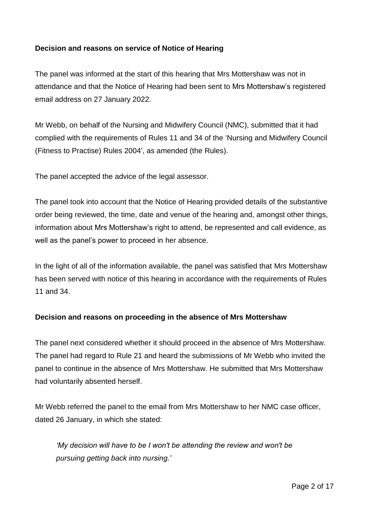## **Decision and reasons on service of Notice of Hearing**

The panel was informed at the start of this hearing that Mrs Mottershaw was not in attendance and that the Notice of Hearing had been sent to Mrs Mottershaw's registered email address on 27 January 2022.

Mr Webb, on behalf of the Nursing and Midwifery Council (NMC), submitted that it had complied with the requirements of Rules 11 and 34 of the 'Nursing and Midwifery Council (Fitness to Practise) Rules 2004', as amended (the Rules).

The panel accepted the advice of the legal assessor.

The panel took into account that the Notice of Hearing provided details of the substantive order being reviewed, the time, date and venue of the hearing and, amongst other things, information about Mrs Mottershaw's right to attend, be represented and call evidence, as well as the panel's power to proceed in her absence.

In the light of all of the information available, the panel was satisfied that Mrs Mottershaw has been served with notice of this hearing in accordance with the requirements of Rules 11 and 34.

#### **Decision and reasons on proceeding in the absence of Mrs Mottershaw**

The panel next considered whether it should proceed in the absence of Mrs Mottershaw. The panel had regard to Rule 21 and heard the submissions of Mr Webb who invited the panel to continue in the absence of Mrs Mottershaw. He submitted that Mrs Mottershaw had voluntarily absented herself.

Mr Webb referred the panel to the email from Mrs Mottershaw to her NMC case officer, dated 26 January, in which she stated:

*'My decision will have to be I won't be attending the review and won't be pursuing getting back into nursing.'*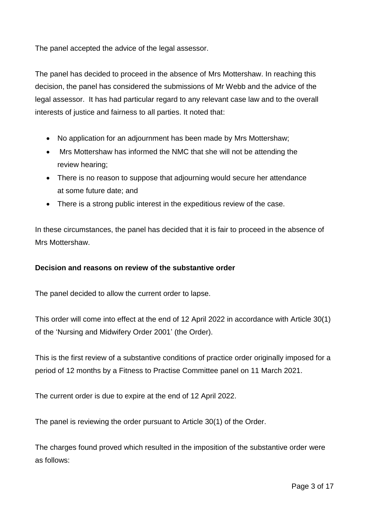The panel accepted the advice of the legal assessor.

The panel has decided to proceed in the absence of Mrs Mottershaw. In reaching this decision, the panel has considered the submissions of Mr Webb and the advice of the legal assessor. It has had particular regard to any relevant case law and to the overall interests of justice and fairness to all parties. It noted that:

- No application for an adjournment has been made by Mrs Mottershaw;
- Mrs Mottershaw has informed the NMC that she will not be attending the review hearing;
- There is no reason to suppose that adjourning would secure her attendance at some future date; and
- There is a strong public interest in the expeditious review of the case.

In these circumstances, the panel has decided that it is fair to proceed in the absence of Mrs Mottershaw.

#### **Decision and reasons on review of the substantive order**

The panel decided to allow the current order to lapse.

This order will come into effect at the end of 12 April 2022 in accordance with Article 30(1) of the 'Nursing and Midwifery Order 2001' (the Order).

This is the first review of a substantive conditions of practice order originally imposed for a period of 12 months by a Fitness to Practise Committee panel on 11 March 2021.

The current order is due to expire at the end of 12 April 2022.

The panel is reviewing the order pursuant to Article 30(1) of the Order.

The charges found proved which resulted in the imposition of the substantive order were as follows: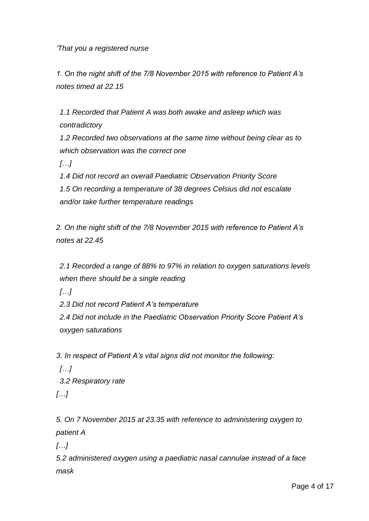*'That you a registered nurse*

*1. On the night shift of the 7/8 November 2015 with reference to Patient A's notes timed at 22.15*

*1.1 Recorded that Patient A was both awake and asleep which was contradictory*

*1.2 Recorded two observations at the same time without being clear as to which observation was the correct one*

*[…]*

*1.4 Did not record an overall Paediatric Observation Priority Score 1.5 On recording a temperature of 38 degrees Celsius did not escalate and/or take further temperature readings*

*2. On the night shift of the 7/8 November 2015 with reference to Patient A's notes at 22.45*

*2.1 Recorded a range of 88% to 97% in relation to oxygen saturations levels when there should be a single reading*

*[…]*

*2.3 Did not record Patient A's temperature*

*2.4 Did not include in the Paediatric Observation Priority Score Patient A's oxygen saturations*

*3. In respect of Patient A's vital signs did not monitor the following:*

*[…]*

*3.2 Respiratory rate*

*[…]*

*5. On 7 November 2015 at 23.35 with reference to administering oxygen to patient A*

*[…]*

*5.2 administered oxygen using a paediatric nasal cannulae instead of a face mask*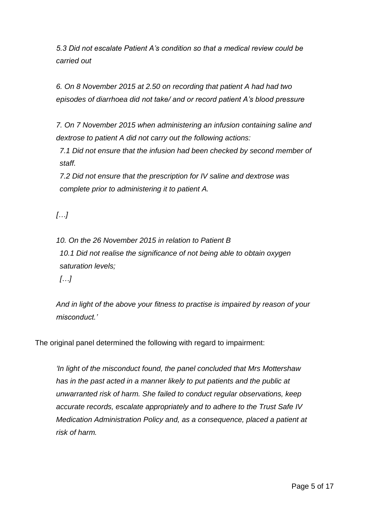*5.3 Did not escalate Patient A's condition so that a medical review could be carried out*

*6. On 8 November 2015 at 2.50 on recording that patient A had had two episodes of diarrhoea did not take/ and or record patient A's blood pressure*

*7. On 7 November 2015 when administering an infusion containing saline and dextrose to patient A did not carry out the following actions:*

*7.1 Did not ensure that the infusion had been checked by second member of staff.*

*7.2 Did not ensure that the prescription for IV saline and dextrose was complete prior to administering it to patient A.*

*[…]*

*10. On the 26 November 2015 in relation to Patient B 10.1 Did not realise the significance of not being able to obtain oxygen saturation levels;*

*[…]*

*And in light of the above your fitness to practise is impaired by reason of your misconduct.'*

The original panel determined the following with regard to impairment:

*'In light of the misconduct found, the panel concluded that Mrs Mottershaw has in the past acted in a manner likely to put patients and the public at unwarranted risk of harm. She failed to conduct regular observations, keep accurate records, escalate appropriately and to adhere to the Trust Safe IV Medication Administration Policy and, as a consequence, placed a patient at risk of harm.*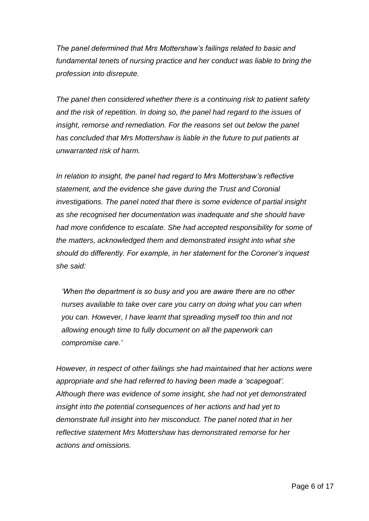*The panel determined that Mrs Mottershaw's failings related to basic and*  fundamental tenets of nursing practice and her conduct was liable to bring the *profession into disrepute.*

*The panel then considered whether there is a continuing risk to patient safety and the risk of repetition. In doing so, the panel had regard to the issues of insight, remorse and remediation. For the reasons set out below the panel has concluded that Mrs Mottershaw is liable in the future to put patients at unwarranted risk of harm.* 

*In relation to insight, the panel had regard to Mrs Mottershaw's reflective statement, and the evidence she gave during the Trust and Coronial investigations. The panel noted that there is some evidence of partial insight as she recognised her documentation was inadequate and she should have had more confidence to escalate. She had accepted responsibility for some of the matters, acknowledged them and demonstrated insight into what she should do differently. For example, in her statement for the Coroner's inquest she said:*

*'When the department is so busy and you are aware there are no other nurses available to take over care you carry on doing what you can when you can. However, I have learnt that spreading myself too thin and not allowing enough time to fully document on all the paperwork can compromise care.'* 

*However, in respect of other failings she had maintained that her actions were appropriate and she had referred to having been made a 'scapegoat'. Although there was evidence of some insight, she had not yet demonstrated insight into the potential consequences of her actions and had yet to demonstrate full insight into her misconduct. The panel noted that in her reflective statement Mrs Mottershaw has demonstrated remorse for her actions and omissions.*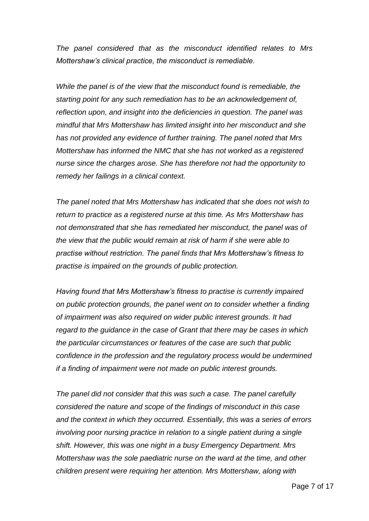*The panel considered that as the misconduct identified relates to Mrs Mottershaw's clinical practice, the misconduct is remediable.* 

*While the panel is of the view that the misconduct found is remediable, the starting point for any such remediation has to be an acknowledgement of, reflection upon, and insight into the deficiencies in question. The panel was mindful that Mrs Mottershaw has limited insight into her misconduct and she has not provided any evidence of further training. The panel noted that Mrs Mottershaw has informed the NMC that she has not worked as a registered nurse since the charges arose. She has therefore not had the opportunity to remedy her failings in a clinical context.*

*The panel noted that Mrs Mottershaw has indicated that she does not wish to return to practice as a registered nurse at this time. As Mrs Mottershaw has not demonstrated that she has remediated her misconduct, the panel was of the view that the public would remain at risk of harm if she were able to practise without restriction. The panel finds that Mrs Mottershaw's fitness to practise is impaired on the grounds of public protection.*

*Having found that Mrs Mottershaw's fitness to practise is currently impaired on public protection grounds, the panel went on to consider whether a finding of impairment was also required on wider public interest grounds. It had regard to the guidance in the case of Grant that there may be cases in which the particular circumstances or features of the case are such that public confidence in the profession and the regulatory process would be undermined if a finding of impairment were not made on public interest grounds.*

*The panel did not consider that this was such a case. The panel carefully considered the nature and scope of the findings of misconduct in this case and the context in which they occurred. Essentially, this was a series of errors involving poor nursing practice in relation to a single patient during a single shift. However, this was one night in a busy Emergency Department. Mrs Mottershaw was the sole paediatric nurse on the ward at the time, and other children present were requiring her attention. Mrs Mottershaw, along with*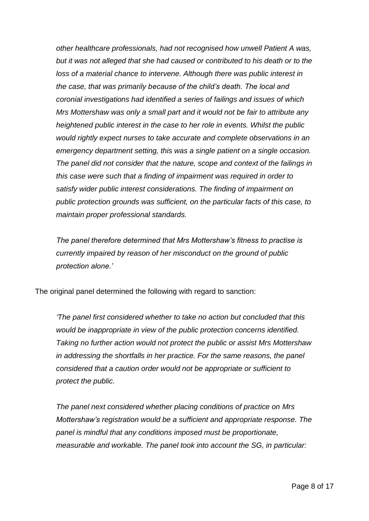*other healthcare professionals, had not recognised how unwell Patient A was, but it was not alleged that she had caused or contributed to his death or to the loss of a material chance to intervene. Although there was public interest in the case, that was primarily because of the child's death. The local and coronial investigations had identified a series of failings and issues of which Mrs Mottershaw was only a small part and it would not be fair to attribute any heightened public interest in the case to her role in events. Whilst the public would rightly expect nurses to take accurate and complete observations in an emergency department setting, this was a single patient on a single occasion. The panel did not consider that the nature, scope and context of the failings in this case were such that a finding of impairment was required in order to satisfy wider public interest considerations. The finding of impairment on public protection grounds was sufficient, on the particular facts of this case, to maintain proper professional standards.*

*The panel therefore determined that Mrs Mottershaw's fitness to practise is currently impaired by reason of her misconduct on the ground of public protection alone.'*

The original panel determined the following with regard to sanction:

*'The panel first considered whether to take no action but concluded that this would be inappropriate in view of the public protection concerns identified. Taking no further action would not protect the public or assist Mrs Mottershaw in addressing the shortfalls in her practice. For the same reasons, the panel considered that a caution order would not be appropriate or sufficient to protect the public.* 

*The panel next considered whether placing conditions of practice on Mrs Mottershaw's registration would be a sufficient and appropriate response. The panel is mindful that any conditions imposed must be proportionate, measurable and workable. The panel took into account the SG, in particular:*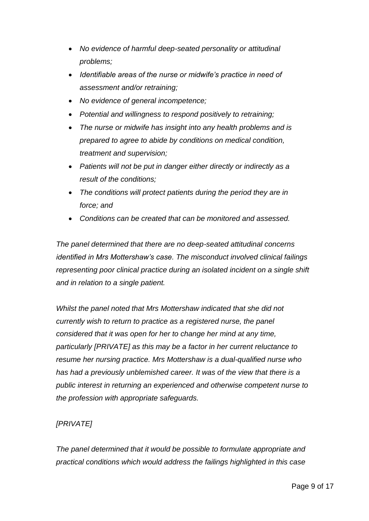- *No evidence of harmful deep-seated personality or attitudinal problems;*
- *Identifiable areas of the nurse or midwife's practice in need of assessment and/or retraining;*
- *No evidence of general incompetence;*
- *Potential and willingness to respond positively to retraining;*
- *The nurse or midwife has insight into any health problems and is prepared to agree to abide by conditions on medical condition, treatment and supervision;*
- *Patients will not be put in danger either directly or indirectly as a result of the conditions;*
- *The conditions will protect patients during the period they are in force; and*
- *Conditions can be created that can be monitored and assessed.*

*The panel determined that there are no deep-seated attitudinal concerns identified in Mrs Mottershaw's case. The misconduct involved clinical failings representing poor clinical practice during an isolated incident on a single shift and in relation to a single patient.* 

*Whilst the panel noted that Mrs Mottershaw indicated that she did not currently wish to return to practice as a registered nurse, the panel considered that it was open for her to change her mind at any time, particularly [PRIVATE] as this may be a factor in her current reluctance to resume her nursing practice. Mrs Mottershaw is a dual-qualified nurse who has had a previously unblemished career. It was of the view that there is a public interest in returning an experienced and otherwise competent nurse to the profession with appropriate safeguards.*

## *[PRIVATE]*

*The panel determined that it would be possible to formulate appropriate and practical conditions which would address the failings highlighted in this case*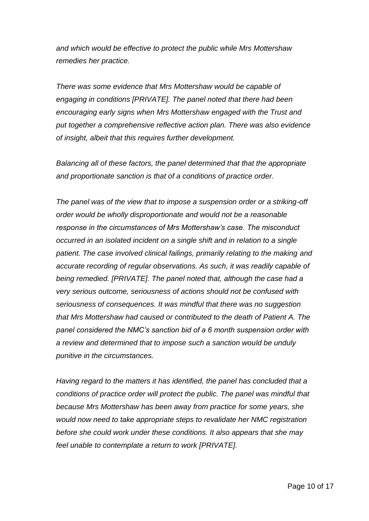*and which would be effective to protect the public while Mrs Mottershaw remedies her practice.*

*There was some evidence that Mrs Mottershaw would be capable of engaging in conditions [PRIVATE]. The panel noted that there had been encouraging early signs when Mrs Mottershaw engaged with the Trust and put together a comprehensive reflective action plan. There was also evidence of insight, albeit that this requires further development.* 

*Balancing all of these factors, the panel determined that that the appropriate and proportionate sanction is that of a conditions of practice order.*

*The panel was of the view that to impose a suspension order or a striking-off order would be wholly disproportionate and would not be a reasonable response in the circumstances of Mrs Mottershaw's case. The misconduct occurred in an isolated incident on a single shift and in relation to a single patient. The case involved clinical failings, primarily relating to the making and accurate recording of regular observations. As such, it was readily capable of being remedied. [PRIVATE]. The panel noted that, although the case had a very serious outcome, seriousness of actions should not be confused with seriousness of consequences. It was mindful that there was no suggestion that Mrs Mottershaw had caused or contributed to the death of Patient A. The panel considered the NMC's sanction bid of a 6 month suspension order with a review and determined that to impose such a sanction would be unduly punitive in the circumstances.*

*Having regard to the matters it has identified, the panel has concluded that a conditions of practice order will protect the public. The panel was mindful that because Mrs Mottershaw has been away from practice for some years, she would now need to take appropriate steps to revalidate her NMC registration before she could work under these conditions. It also appears that she may feel unable to contemplate a return to work [PRIVATE].*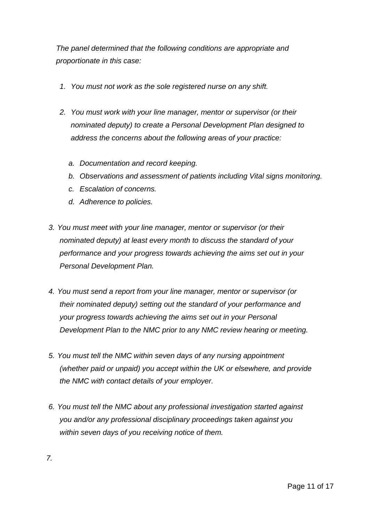*The panel determined that the following conditions are appropriate and proportionate in this case:*

- *1. You must not work as the sole registered nurse on any shift.*
- *2. You must work with your line manager, mentor or supervisor (or their nominated deputy) to create a Personal Development Plan designed to address the concerns about the following areas of your practice:*
	- *a. Documentation and record keeping.*
	- *b. Observations and assessment of patients including Vital signs monitoring.*
	- *c. Escalation of concerns.*
	- *d. Adherence to policies.*
- *3. You must meet with your line manager, mentor or supervisor (or their nominated deputy) at least every month to discuss the standard of your performance and your progress towards achieving the aims set out in your Personal Development Plan.*
- *4. You must send a report from your line manager, mentor or supervisor (or their nominated deputy) setting out the standard of your performance and your progress towards achieving the aims set out in your Personal Development Plan to the NMC prior to any NMC review hearing or meeting.*
- *5. You must tell the NMC within seven days of any nursing appointment (whether paid or unpaid) you accept within the UK or elsewhere, and provide the NMC with contact details of your employer.*
- *6. You must tell the NMC about any professional investigation started against you and/or any professional disciplinary proceedings taken against you within seven days of you receiving notice of them.*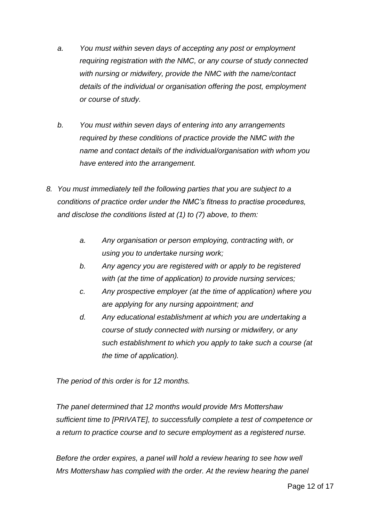- *a. You must within seven days of accepting any post or employment requiring registration with the NMC, or any course of study connected with nursing or midwifery, provide the NMC with the name/contact details of the individual or organisation offering the post, employment or course of study.*
- *b. You must within seven days of entering into any arrangements required by these conditions of practice provide the NMC with the name and contact details of the individual/organisation with whom you have entered into the arrangement.*
- *8. You must immediately tell the following parties that you are subject to a conditions of practice order under the NMC's fitness to practise procedures, and disclose the conditions listed at (1) to (7) above, to them:*
	- *a. Any organisation or person employing, contracting with, or using you to undertake nursing work;*
	- *b. Any agency you are registered with or apply to be registered with (at the time of application) to provide nursing services;*
	- *c. Any prospective employer (at the time of application) where you are applying for any nursing appointment; and*
	- *d. Any educational establishment at which you are undertaking a course of study connected with nursing or midwifery, or any such establishment to which you apply to take such a course (at the time of application).*

*The period of this order is for 12 months.* 

*The panel determined that 12 months would provide Mrs Mottershaw sufficient time to [PRIVATE], to successfully complete a test of competence or a return to practice course and to secure employment as a registered nurse.* 

*Before the order expires, a panel will hold a review hearing to see how well Mrs Mottershaw has complied with the order. At the review hearing the panel*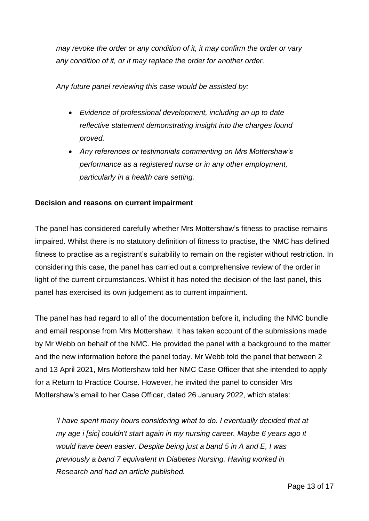*may revoke the order or any condition of it, it may confirm the order or vary any condition of it, or it may replace the order for another order.*

*Any future panel reviewing this case would be assisted by:*

- *Evidence of professional development, including an up to date reflective statement demonstrating insight into the charges found proved.*
- *Any references or testimonials commenting on Mrs Mottershaw's performance as a registered nurse or in any other employment, particularly in a health care setting.*

## **Decision and reasons on current impairment**

The panel has considered carefully whether Mrs Mottershaw's fitness to practise remains impaired. Whilst there is no statutory definition of fitness to practise, the NMC has defined fitness to practise as a registrant's suitability to remain on the register without restriction. In considering this case, the panel has carried out a comprehensive review of the order in light of the current circumstances. Whilst it has noted the decision of the last panel, this panel has exercised its own judgement as to current impairment.

The panel has had regard to all of the documentation before it, including the NMC bundle and email response from Mrs Mottershaw. It has taken account of the submissions made by Mr Webb on behalf of the NMC. He provided the panel with a background to the matter and the new information before the panel today. Mr Webb told the panel that between 2 and 13 April 2021, Mrs Mottershaw told her NMC Case Officer that she intended to apply for a Return to Practice Course. However, he invited the panel to consider Mrs Mottershaw's email to her Case Officer, dated 26 January 2022, which states:

*'I have spent many hours considering what to do. I eventually decided that at my age i [sic] couldn't start again in my nursing career. Maybe 6 years ago it would have been easier. Despite being just a band 5 in A and E, I was previously a band 7 equivalent in Diabetes Nursing. Having worked in Research and had an article published.*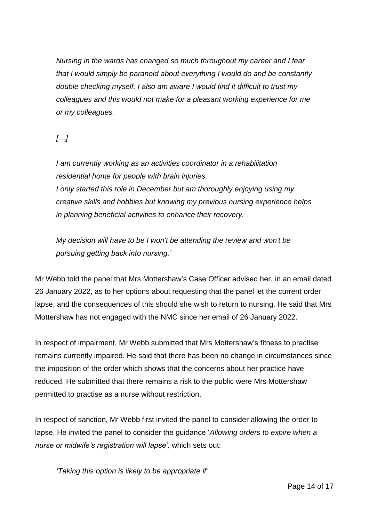*Nursing in the wards has changed so much throughout my career and I fear that I would simply be paranoid about everything I would do and be constantly double checking myself. I also am aware I would find it difficult to trust my colleagues and this would not make for a pleasant working experience for me or my colleagues.*

*[…]*

*I am currently working as an activities coordinator in a rehabilitation residential home for people with brain injuries. I only started this role in December but am thoroughly enjoying using my creative skills and hobbies but knowing my previous nursing experience helps in planning beneficial activities to enhance their recovery.*

*My decision will have to be I won't be attending the review and won't be pursuing getting back into nursing.'*

Mr Webb told the panel that Mrs Mottershaw's Case Officer advised her, in an email dated 26 January 2022, as to her options about requesting that the panel let the current order lapse, and the consequences of this should she wish to return to nursing. He said that Mrs Mottershaw has not engaged with the NMC since her email of 26 January 2022.

In respect of impairment, Mr Webb submitted that Mrs Mottershaw's fitness to practise remains currently impaired. He said that there has been no change in circumstances since the imposition of the order which shows that the concerns about her practice have reduced. He submitted that there remains a risk to the public were Mrs Mottershaw permitted to practise as a nurse without restriction.

In respect of sanction, Mr Webb first invited the panel to consider allowing the order to lapse. He invited the panel to consider the guidance '*Allowing orders to expire when a nurse or midwife's registration will lapse',* which sets out:

*'Taking this option is likely to be appropriate if:*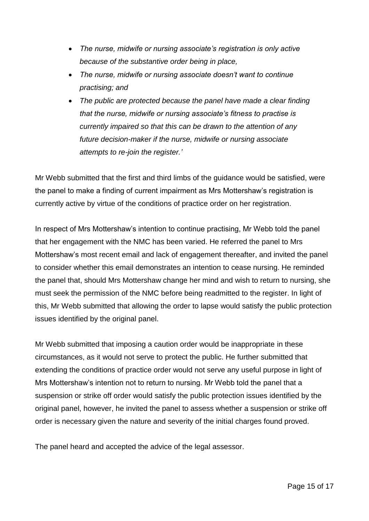- *The nurse, midwife or nursing associate's registration is only active because of the substantive order being in place,*
- *The nurse, midwife or nursing associate doesn't want to continue practising; and*
- *The public are protected because the panel have made a clear finding that the nurse, midwife or nursing associate's fitness to practise is currently impaired so that this can be drawn to the attention of any future decision-maker if the nurse, midwife or nursing associate attempts to re-join the register.'*

Mr Webb submitted that the first and third limbs of the guidance would be satisfied, were the panel to make a finding of current impairment as Mrs Mottershaw's registration is currently active by virtue of the conditions of practice order on her registration.

In respect of Mrs Mottershaw's intention to continue practising, Mr Webb told the panel that her engagement with the NMC has been varied. He referred the panel to Mrs Mottershaw's most recent email and lack of engagement thereafter, and invited the panel to consider whether this email demonstrates an intention to cease nursing. He reminded the panel that, should Mrs Mottershaw change her mind and wish to return to nursing, she must seek the permission of the NMC before being readmitted to the register. In light of this, Mr Webb submitted that allowing the order to lapse would satisfy the public protection issues identified by the original panel.

Mr Webb submitted that imposing a caution order would be inappropriate in these circumstances, as it would not serve to protect the public. He further submitted that extending the conditions of practice order would not serve any useful purpose in light of Mrs Mottershaw's intention not to return to nursing. Mr Webb told the panel that a suspension or strike off order would satisfy the public protection issues identified by the original panel, however, he invited the panel to assess whether a suspension or strike off order is necessary given the nature and severity of the initial charges found proved.

The panel heard and accepted the advice of the legal assessor.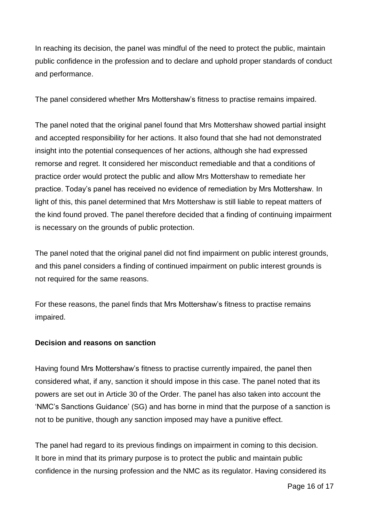In reaching its decision, the panel was mindful of the need to protect the public, maintain public confidence in the profession and to declare and uphold proper standards of conduct and performance.

The panel considered whether Mrs Mottershaw's fitness to practise remains impaired.

The panel noted that the original panel found that Mrs Mottershaw showed partial insight and accepted responsibility for her actions. It also found that she had not demonstrated insight into the potential consequences of her actions, although she had expressed remorse and regret. It considered her misconduct remediable and that a conditions of practice order would protect the public and allow Mrs Mottershaw to remediate her practice. Today's panel has received no evidence of remediation by Mrs Mottershaw. In light of this, this panel determined that Mrs Mottershaw is still liable to repeat matters of the kind found proved. The panel therefore decided that a finding of continuing impairment is necessary on the grounds of public protection.

The panel noted that the original panel did not find impairment on public interest grounds, and this panel considers a finding of continued impairment on public interest grounds is not required for the same reasons.

For these reasons, the panel finds that Mrs Mottershaw's fitness to practise remains impaired.

#### **Decision and reasons on sanction**

Having found Mrs Mottershaw's fitness to practise currently impaired, the panel then considered what, if any, sanction it should impose in this case. The panel noted that its powers are set out in Article 30 of the Order. The panel has also taken into account the 'NMC's Sanctions Guidance' (SG) and has borne in mind that the purpose of a sanction is not to be punitive, though any sanction imposed may have a punitive effect.

The panel had regard to its previous findings on impairment in coming to this decision. It bore in mind that its primary purpose is to protect the public and maintain public confidence in the nursing profession and the NMC as its regulator. Having considered its